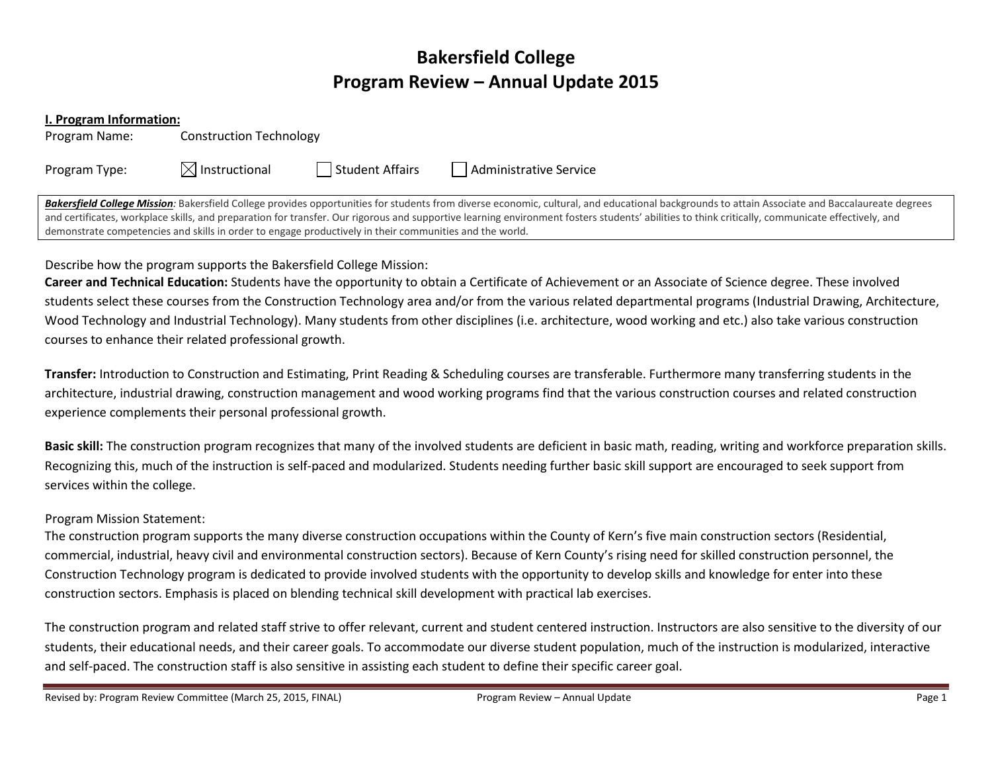# Bakersfield College Program Review – Annual Update 2015

#### I. Program Information:

Program Name: Construction Technology

Program Type:  $\boxtimes$  Instructional  $\Box$  Student Affairs  $\Box$  Administrative Service

Bakersfield College Mission: Bakersfield College provides opportunities for students from diverse economic, cultural, and educational backgrounds to attain Associate and Baccalaureate degrees and certificates, workplace skills, and preparation for transfer. Our rigorous and supportive learning environment fosters students' abilities to think critically, communicate effectively, and demonstrate competencies and skills in order to engage productively in their communities and the world.

# Describe how the program supports the Bakersfield College Mission:

Career and Technical Education: Students have the opportunity to obtain a Certificate of Achievement or an Associate of Science degree. These involved students select these courses from the Construction Technology area and/or from the various related departmental programs (Industrial Drawing, Architecture, Wood Technology and Industrial Technology). Many students from other disciplines (i.e. architecture, wood working and etc.) also take various construction courses to enhance their related professional growth.

Transfer: Introduction to Construction and Estimating, Print Reading & Scheduling courses are transferable. Furthermore many transferring students in the architecture, industrial drawing, construction management and wood working programs find that the various construction courses and related construction experience complements their personal professional growth.

Basic skill: The construction program recognizes that many of the involved students are deficient in basic math, reading, writing and workforce preparation skills. Recognizing this, much of the instruction is self-paced and modularized. Students needing further basic skill support are encouraged to seek support from services within the college.

## Program Mission Statement:

The construction program supports the many diverse construction occupations within the County of Kern's five main construction sectors (Residential, commercial, industrial, heavy civil and environmental construction sectors). Because of Kern County's rising need for skilled construction personnel, the Construction Technology program is dedicated to provide involved students with the opportunity to develop skills and knowledge for enter into these construction sectors. Emphasis is placed on blending technical skill development with practical lab exercises.

The construction program and related staff strive to offer relevant, current and student centered instruction. Instructors are also sensitive to the diversity of our students, their educational needs, and their career goals. To accommodate our diverse student population, much of the instruction is modularized, interactive and self-paced. The construction staff is also sensitive in assisting each student to define their specific career goal.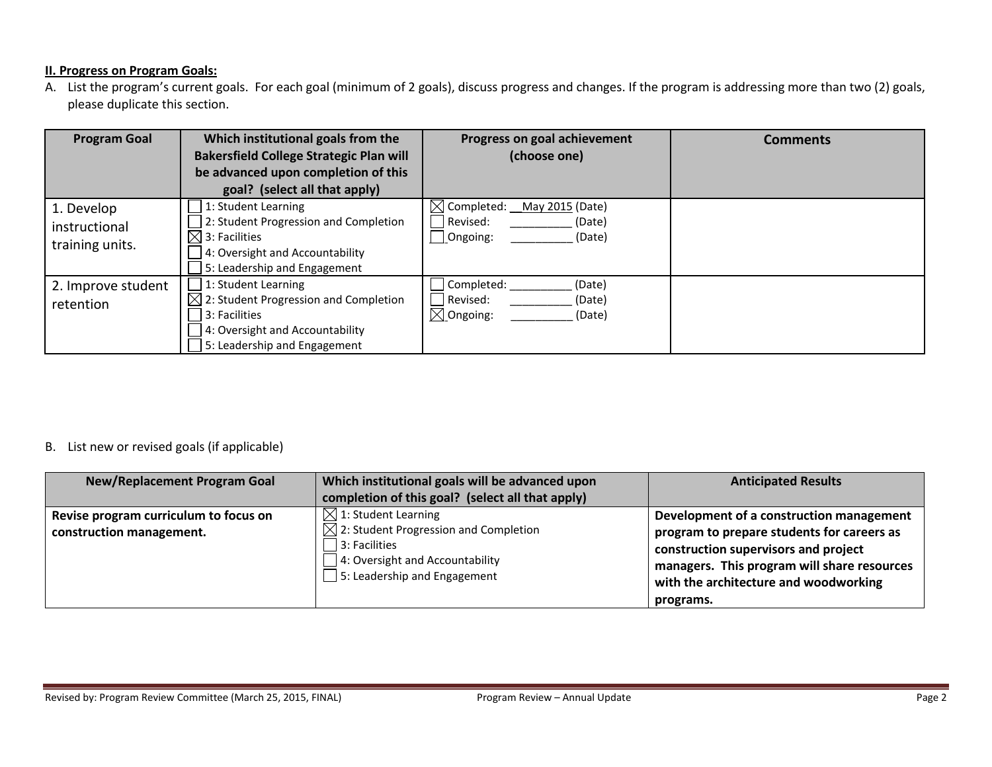#### **II. Progress on Program Goals:**

A. List the program's current goals. For each goal (minimum of 2 goals), discuss progress and changes. If the program is addressing more than two (2) goals, please duplicate this section.

| <b>Program Goal</b>                            | Which institutional goals from the                | Progress on goal achievement              | <b>Comments</b> |
|------------------------------------------------|---------------------------------------------------|-------------------------------------------|-----------------|
|                                                | <b>Bakersfield College Strategic Plan will</b>    | (choose one)                              |                 |
|                                                | be advanced upon completion of this               |                                           |                 |
|                                                | goal? (select all that apply)                     |                                           |                 |
| 1. Develop<br>instructional<br>training units. | 1: Student Learning                               | $\boxtimes$ Completed:<br>May 2015 (Date) |                 |
|                                                | 2: Student Progression and Completion             | Revised:<br>(Date)                        |                 |
|                                                | $\boxtimes$ 3: Facilities                         | Ongoing:<br>(Date)                        |                 |
|                                                | 4: Oversight and Accountability                   |                                           |                 |
|                                                | 5: Leadership and Engagement                      |                                           |                 |
| 2. Improve student<br>retention                | 1: Student Learning                               | Completed:<br>(Date)                      |                 |
|                                                | $\boxtimes$ 2: Student Progression and Completion | Revised:<br>(Date)                        |                 |
|                                                | 3: Facilities                                     | $\boxtimes$ Ongoing:<br>(Date)            |                 |
|                                                | 4: Oversight and Accountability                   |                                           |                 |
|                                                | 5: Leadership and Engagement                      |                                           |                 |

### B. List new or revised goals (if applicable)

| <b>New/Replacement Program Goal</b>                               | Which institutional goals will be advanced upon<br>completion of this goal? (select all that apply)                                                                                     | <b>Anticipated Results</b>                                                                                                                                                                                                          |
|-------------------------------------------------------------------|-----------------------------------------------------------------------------------------------------------------------------------------------------------------------------------------|-------------------------------------------------------------------------------------------------------------------------------------------------------------------------------------------------------------------------------------|
| Revise program curriculum to focus on<br>construction management. | $\boxtimes$ 1: Student Learning<br>$\boxtimes$ 2: Student Progression and Completion<br>$\vert$ 3: Facilities<br>4: Oversight and Accountability<br>$\Box$ 5: Leadership and Engagement | Development of a construction management<br>program to prepare students for careers as<br>construction supervisors and project<br>managers. This program will share resources<br>with the architecture and woodworking<br>programs. |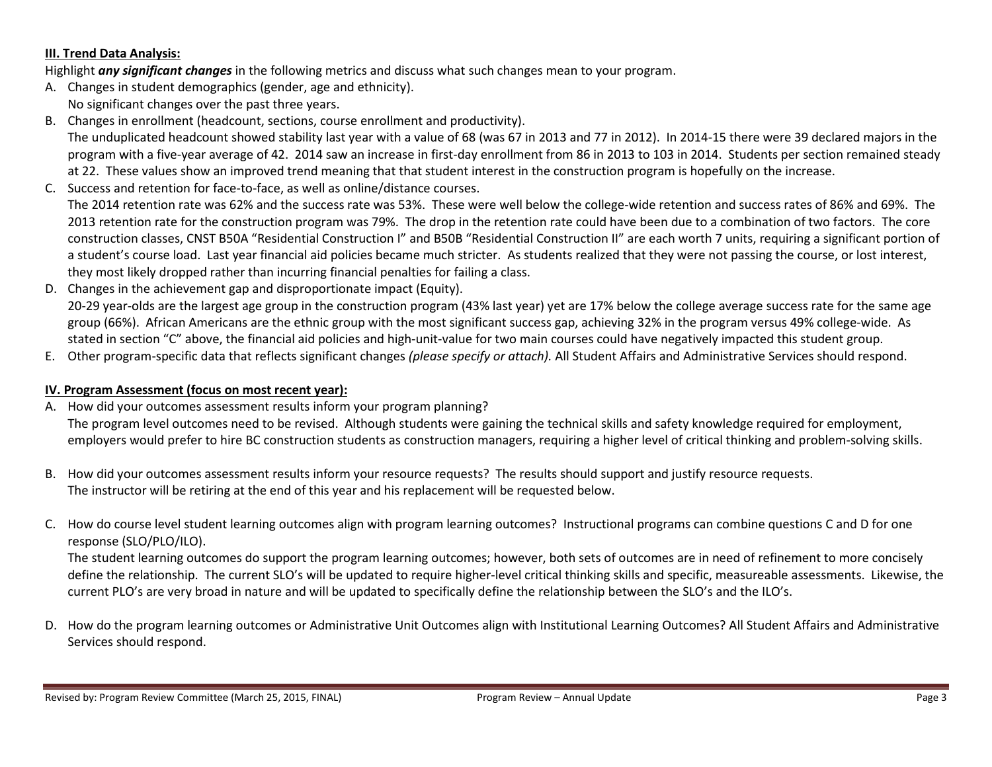#### III. Trend Data Analysis:

Highlight any significant changes in the following metrics and discuss what such changes mean to your program.

- A. Changes in student demographics (gender, age and ethnicity).
	- No significant changes over the past three years.
- B. Changes in enrollment (headcount, sections, course enrollment and productivity). The unduplicated headcount showed stability last year with a value of 68 (was 67 in 2013 and 77 in 2012). In 2014‐15 there were 39 declared majors in the program with a five‐year average of 42. 2014 saw an increase in first‐day enrollment from 86 in 2013 to 103 in 2014. Students per section remained steady at 22. These values show an improved trend meaning that that student interest in the construction program is hopefully on the increase.
- C. Success and retention for face‐to‐face, as well as online/distance courses.

The 2014 retention rate was 62% and the success rate was 53%. These were well below the college-wide retention and success rates of 86% and 69%. The 2013 retention rate for the construction program was 79%. The drop in the retention rate could have been due to a combination of two factors. The core construction classes, CNST B50A "Residential Construction I" and B50B "Residential Construction II" are each worth 7 units, requiring a significant portion of a student's course load. Last year financial aid policies became much stricter. As students realized that they were not passing the course, or lost interest, they most likely dropped rather than incurring financial penalties for failing a class.

- D. Changes in the achievement gap and disproportionate impact (Equity). 20‐29 year‐olds are the largest age group in the construction program (43% last year) yet are 17% below the college average success rate for the same agegroup (66%). African Americans are the ethnic group with the most significant success gap, achieving 32% in the program versus 49% college-wide. As stated in section "C" above, the financial aid policies and high-unit-value for two main courses could have negatively impacted this student group.
- E. Other program-specific data that reflects significant changes *(please specify or attach).* All Student Affairs and Administrative Services should respond.

#### IV. Program Assessment (focus on most recent year):

A. How did your outcomes assessment results inform your program planning?

The program level outcomes need to be revised. Although students were gaining the technical skills and safety knowledge required for employment, employers would prefer to hire BC construction students as construction managers, requiring a higher level of critical thinking and problem-solving skills.

- B. How did your outcomes assessment results inform your resource requests? The results should support and justify resource requests. The instructor will be retiring at the end of this year and his replacement will be requested below.
- C. How do course level student learning outcomes align with program learning outcomes? Instructional programs can combine questions C and D for one response (SLO/PLO/ILO).

The student learning outcomes do support the program learning outcomes; however, both sets of outcomes are in need of refinement to more concisely define the relationship. The current SLO's will be updated to require higher‐level critical thinking skills and specific, measureable assessments. Likewise, the current PLO's are very broad in nature and will be updated to specifically define the relationship between the SLO's and the ILO's.

D. How do the program learning outcomes or Administrative Unit Outcomes align with Institutional Learning Outcomes? All Student Affairs and Administrative Services should respond.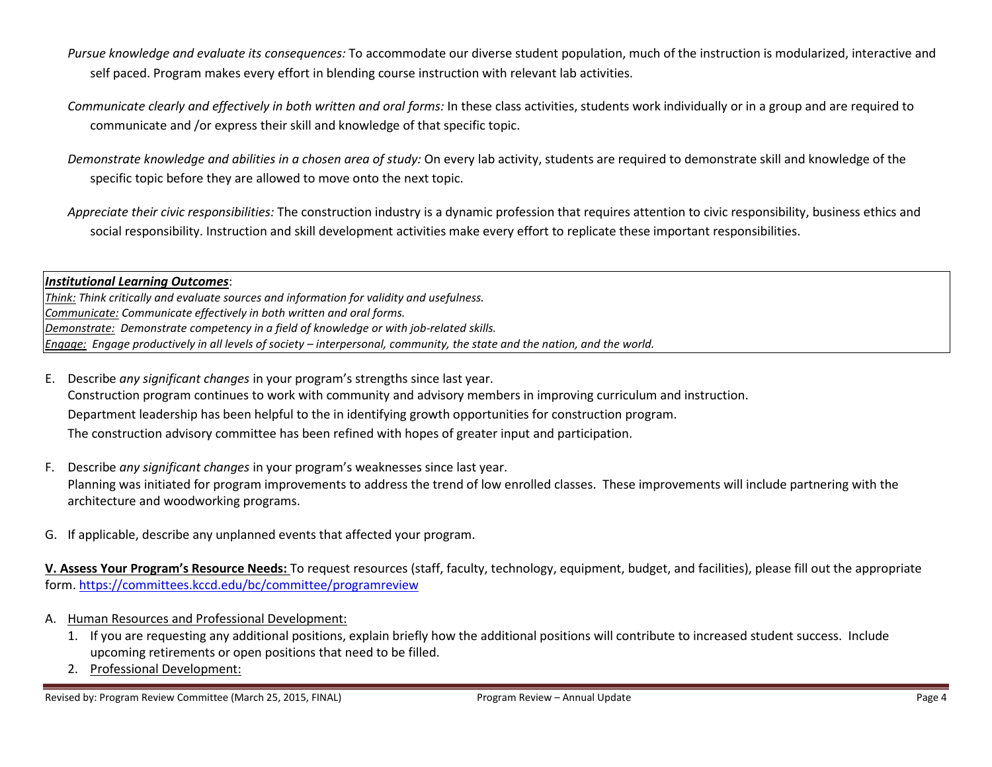- Pursue knowledge and evaluate its consequences: To accommodate our diverse student population, much of the instruction is modularized, interactive and self paced. Program makes every effort in blending course instruction with relevant lab activities.
- Communicate clearly and effectively in both written and oral forms: In these class activities, students work individually or in a group and are required to communicate and /or express their skill and knowledge of that specific topic.
- Demonstrate knowledge and abilities in a chosen area of study: On every lab activity, students are required to demonstrate skill and knowledge of the specific topic before they are allowed to move onto the next topic.
- Appreciate their civic responsibilities: The construction industry is a dynamic profession that requires attention to civic responsibility, business ethics and social responsibility. Instruction and skill development activities make every effort to replicate these important responsibilities.

### Institutional Learning Outcomes:

Think: Think critically and evaluate sources and information for validity and usefulness. Communicate: Communicate effectively in both written and oral forms. Demonstrate: Demonstrate competency in a field of knowledge or with job-related skills. Engage: Engage productively in all levels of society – interpersonal, community, the state and the nation, and the world.

- E. Describe any significant changes in your program's strengths since last year. Construction program continues to work with community and advisory members in improving curriculum and instruction. Department leadership has been helpful to the in identifying growth opportunities for construction program. The construction advisory committee has been refined with hopes of greater input and participation.
- F. Describe any significant changes in your program's weaknesses since last year. Planning was initiated for program improvements to address the trend of low enrolled classes. These improvements will include partnering with the architecture and woodworking programs.
- G. If applicable, describe any unplanned events that affected your program.

V. Assess Your Program's Resource Needs: To request resources (staff, faculty, technology, equipment, budget, and facilities), please fill out the appropriate form. https://committees.kccd.edu/bc/committee/programreview

- A. Human Resources and Professional Development:
	- 1. If you are requesting any additional positions, explain briefly how the additional positions will contribute to increased student success. Include upcoming retirements or open positions that need to be filled.
	- 2. Professional Development: